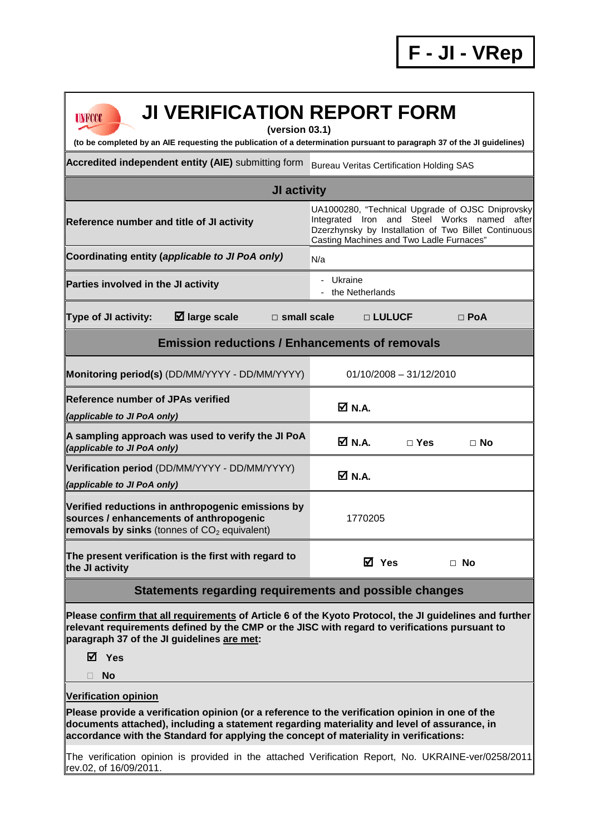**F - JI - VRep**

| <b>JI VERIFICATION REPORT FORM</b><br>UNFCCC<br>(version 03.1)                                                                                                                                                                                                                                                          |                                                                                                                                                                                                     |                           |            |  |
|-------------------------------------------------------------------------------------------------------------------------------------------------------------------------------------------------------------------------------------------------------------------------------------------------------------------------|-----------------------------------------------------------------------------------------------------------------------------------------------------------------------------------------------------|---------------------------|------------|--|
| (to be completed by an AIE requesting the publication of a determination pursuant to paragraph 37 of the JI guidelines)                                                                                                                                                                                                 |                                                                                                                                                                                                     |                           |            |  |
| Accredited independent entity (AIE) submitting form                                                                                                                                                                                                                                                                     | <b>Bureau Veritas Certification Holding SAS</b>                                                                                                                                                     |                           |            |  |
| JI activity                                                                                                                                                                                                                                                                                                             |                                                                                                                                                                                                     |                           |            |  |
| Reference number and title of JI activity                                                                                                                                                                                                                                                                               | UA1000280, "Technical Upgrade of OJSC Dniprovsky<br>Integrated Iron and Steel Works named after<br>Dzerzhynsky by Installation of Two Billet Continuous<br>Casting Machines and Two Ladle Furnaces" |                           |            |  |
| Coordinating entity (applicable to JI PoA only)                                                                                                                                                                                                                                                                         | N/a                                                                                                                                                                                                 |                           |            |  |
| Parties involved in the JI activity                                                                                                                                                                                                                                                                                     | - Ukraine<br>the Netherlands                                                                                                                                                                        |                           |            |  |
| $\boxtimes$ large scale<br><b>Type of JI activity:</b><br>$\square$ small scale                                                                                                                                                                                                                                         |                                                                                                                                                                                                     | □ LULUCF                  | $\Box$ PoA |  |
| <b>Emission reductions / Enhancements of removals</b>                                                                                                                                                                                                                                                                   |                                                                                                                                                                                                     |                           |            |  |
| Monitoring period(s) (DD/MM/YYYY - DD/MM/YYYY)                                                                                                                                                                                                                                                                          |                                                                                                                                                                                                     | $01/10/2008 - 31/12/2010$ |            |  |
| <b>Reference number of JPAs verified</b><br>(applicable to JI PoA only)                                                                                                                                                                                                                                                 | M N.A.                                                                                                                                                                                              |                           |            |  |
| A sampling approach was used to verify the JI PoA<br>(applicable to JI PoA only)                                                                                                                                                                                                                                        | M N.A.                                                                                                                                                                                              | $\Box$ Yes                | $\Box$ No  |  |
| Verification period (DD/MM/YYYY - DD/MM/YYYY)<br>(applicable to JI PoA only)                                                                                                                                                                                                                                            | M N.A.                                                                                                                                                                                              |                           |            |  |
| Verified reductions in anthropogenic emissions by<br>sources / enhancements of anthropogenic<br>removals by sinks (tonnes of $CO2$ equivalent)                                                                                                                                                                          | 1770205                                                                                                                                                                                             |                           |            |  |
| The present verification is the first with regard to<br>the JI activity                                                                                                                                                                                                                                                 | <b>☑</b> Yes                                                                                                                                                                                        |                           | $\Box$ No  |  |
| Statements regarding requirements and possible changes                                                                                                                                                                                                                                                                  |                                                                                                                                                                                                     |                           |            |  |
| Please confirm that all requirements of Article 6 of the Kyoto Protocol, the JI guidelines and further<br>relevant requirements defined by the CMP or the JISC with regard to verifications pursuant to<br>paragraph 37 of the JI guidelines are met:                                                                   |                                                                                                                                                                                                     |                           |            |  |
| $\boxtimes$ Yes                                                                                                                                                                                                                                                                                                         |                                                                                                                                                                                                     |                           |            |  |
| <b>No</b>                                                                                                                                                                                                                                                                                                               |                                                                                                                                                                                                     |                           |            |  |
| <b>Verification opinion</b><br>Please provide a verification opinion (or a reference to the verification opinion in one of the<br>documents attached), including a statement regarding materiality and level of assurance, in<br>accordance with the Standard for applying the concept of materiality in verifications: |                                                                                                                                                                                                     |                           |            |  |
| The verification opinion is provided in the attached Verification Report, No. UKRAINE-ver/0258/2011<br>rev.02, of 16/09/2011.                                                                                                                                                                                           |                                                                                                                                                                                                     |                           |            |  |